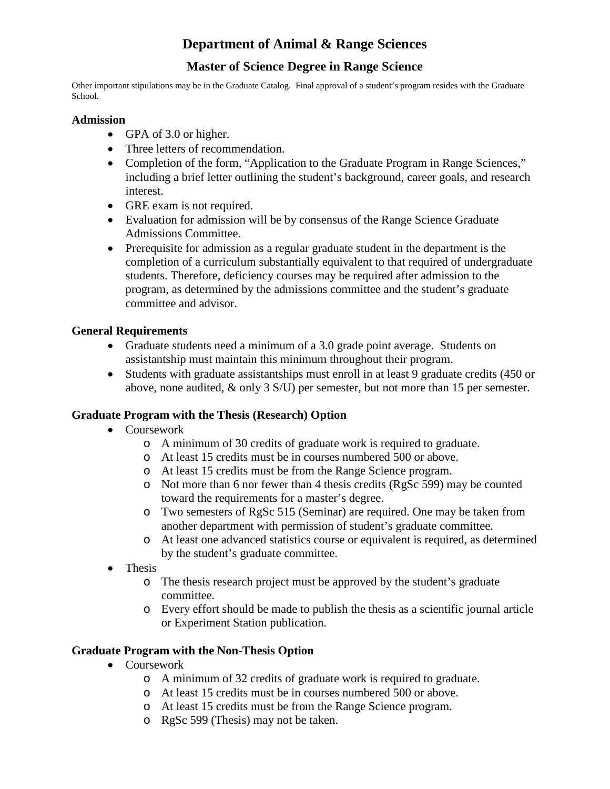# **Department of Animal & Range Sciences**

## **Master of Science Degree in Range Science**

Other important stipulations may be in the Graduate Catalog. Final approval of a student's program resides with the Graduate School.

#### **Admission**

- GPA of 3.0 or higher.
- Three letters of recommendation.
- Completion of the form, "Application to the Graduate Program in Range Sciences," including a brief letter outlining the student's background, career goals, and research interest.
- GRE exam is not required.
- Evaluation for admission will be by consensus of the Range Science Graduate Admissions Committee.
- Prerequisite for admission as a regular graduate student in the department is the completion of a curriculum substantially equivalent to that required of undergraduate students. Therefore, deficiency courses may be required after admission to the program, as determined by the admissions committee and the student's graduate committee and advisor.

#### **General Requirements**

- Graduate students need a minimum of a 3.0 grade point average. Students on assistantship must maintain this minimum throughout their program.
- Students with graduate assistantships must enroll in at least 9 graduate credits (450 or above, none audited, & only 3 S/U) per semester, but not more than 15 per semester.

#### **Graduate Program with the Thesis (Research) Option**

- Coursework
	- o A minimum of 30 credits of graduate work is required to graduate.
	- o At least 15 credits must be in courses numbered 500 or above.
	- o At least 15 credits must be from the Range Science program.
	- o Not more than 6 nor fewer than 4 thesis credits (RgSc 599) may be counted toward the requirements for a master's degree.
	- o Two semesters of RgSc 515 (Seminar) are required. One may be taken from another department with permission of student's graduate committee.
	- o At least one advanced statistics course or equivalent is required, as determined by the student's graduate committee.
- Thesis
	- o The thesis research project must be approved by the student's graduate committee.
	- o Every effort should be made to publish the thesis as a scientific journal article or Experiment Station publication.

#### **Graduate Program with the Non-Thesis Option**

- Coursework
	- o A minimum of 32 credits of graduate work is required to graduate.
	- o At least 15 credits must be in courses numbered 500 or above.
	- o At least 15 credits must be from the Range Science program.
	- o RgSc 599 (Thesis) may not be taken.